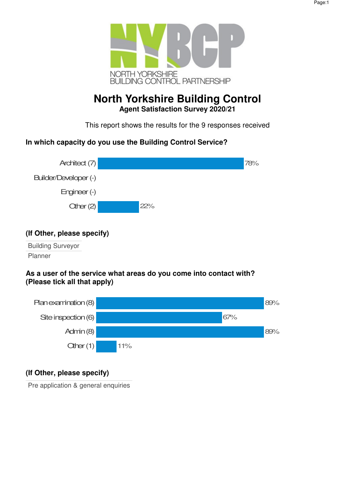

# **North Yorkshire Building Control Agent Satisfaction Survey 2020/21**

This report shows the results for the 9 responses received

## **In which capacity do you use the Building Control Service?**



## **(If Other, please specify)**

Building Surveyor Planner

### **As a user of the service what areas do you come into contact with? (Please tick all that apply)**



## **(If Other, please specify)**

Pre application & general enquiries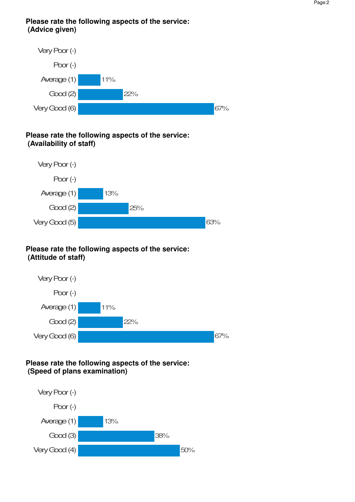### **Please rate the following aspects of the service: (Advice given)**



### **Please rate the following aspects of the service: (Availability of staff)**



### **Please rate the following aspects of the service: (Attitude of staff)**



### **Please rate the following aspects of the service: (Speed of plans examination)**

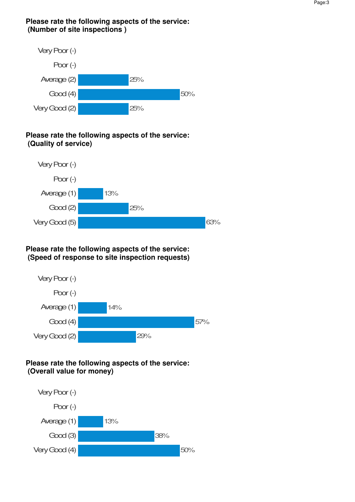### **Please rate the following aspects of the service: (Number of site inspections )**



## **Please rate the following aspects of the service: (Quality of service)**



## **Please rate the following aspects of the service: (Speed of response to site inspection requests)**



## **Please rate the following aspects of the service: (Overall value for money)**

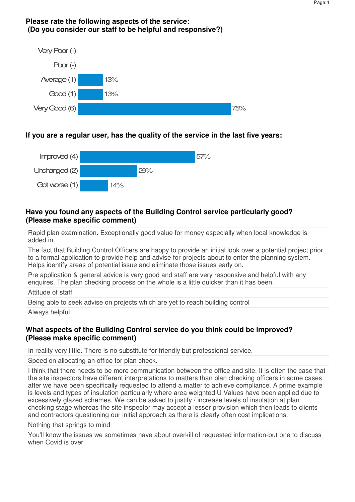#### **Please rate the following aspects of the service: (Do you consider our staff to be helpful and responsive?)**



## **If you are a regular user, has the quality of the service in the last five years:**



### **Have you found any aspects of the Building Control service particularly good? (Please make specific comment)**

Rapid plan examination. Exceptionally good value for money especially when local knowledge is added in.

The fact that Building Control Officers are happy to provide an initial look over a potential project prior to a formal application to provide help and advise for projects about to enter the planning system. Helps identify areas of potential issue and eliminate those issues early on.

Pre application & general advice is very good and staff are very responsive and helpful with any enquires. The plan checking process on the whole is a little quicker than it has been.

Attitude of staff

Being able to seek advise on projects which are yet to reach building control

Always helpful

### **What aspects of the Building Control service do you think could be improved? (Please make specific comment)**

In reality very little. There is no substitute for friendly but professional service.

Speed on allocating an office for plan check.

I think that there needs to be more communication between the office and site. It is often the case that the site inspectors have different interpretations to matters than plan checking officers in some cases after we have been specifically requested to attend a matter to achieve compliance. A prime example is levels and types of insulation particularly where area weighted U Values have been applied due to excessively glazed schemes. We can be asked to justify / increase levels of insulation at plan checking stage whereas the site inspector may accept a lesser provision which then leads to clients and contractors questioning our initial approach as there is clearly often cost implications.

Nothing that springs to mind

You'll know the issues we sometimes have about overkill of requested information-but one to discuss when Covid is over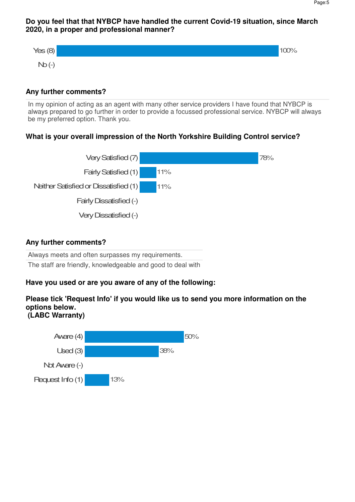#### **Do you feel that that NYBCP have handled the current Covid-19 situation, since March 2020, in a proper and professional manner?**



#### **Any further comments?**

In my opinion of acting as an agent with many other service providers I have found that NYBCP is always prepared to go further in order to provide a focussed professional service. NYBCP will always be my preferred option. Thank you.

### **What is your overall impression of the North Yorkshire Building Control service?**



#### **Any further comments?**

Always meets and often surpasses my requirements. The staff are friendly, knowledgeable and good to deal with

### **Have you used or are you aware of any of the following:**

#### **Please tick 'Request Info' if you would like us to send you more information on the options below. (LABC Warranty)**

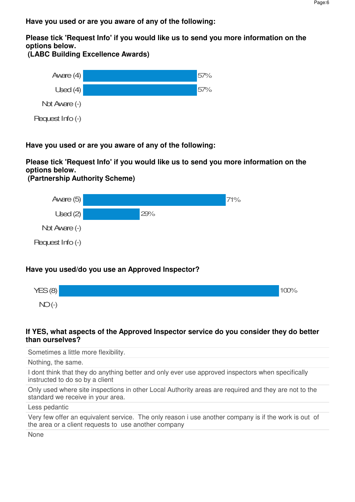**Have you used or are you aware of any of the following:**

**Please tick 'Request Info' if you would like us to send you more information on the options below.** 

 **(LABC Building Excellence Awards)**



**Have you used or are you aware of any of the following:**

**Please tick 'Request Info' if you would like us to send you more information on the options below.** 

 **(Partnership Authority Scheme)**



## **Have you used/do you use an Approved Inspector?**



### **If YES, what aspects of the Approved Inspector service do you consider they do better than ourselves?**

Sometimes a little more flexibility.

Nothing, the same.

I dont think that they do anything better and only ever use approved inspectors when specifically instructed to do so by a client

Only used where site inspections in other Local Authority areas are required and they are not to the standard we receive in your area.

Less pedantic

Very few offer an equivalent service. The only reason i use another company is if the work is out of the area or a client requests to use another company

None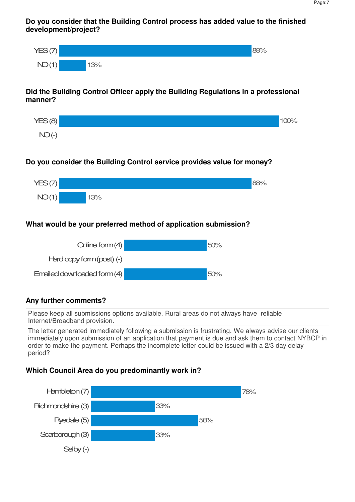**Do you consider that the Building Control process has added value to the finished development/project?**



### **Did the Building Control Officer apply the Building Regulations in a professional manner?**



## **Do you consider the Building Control service provides value for money?**



## **What would be your preferred method of application submission?**



### **Any further comments?**

Please keep all submissions options available. Rural areas do not always have reliable Internet/Broadband provision.

The letter generated immediately following a submission is frustrating. We always advise our clients immediately upon submission of an application that payment is due and ask them to contact NYBCP in order to make the payment. Perhaps the incomplete letter could be issued with a 2/3 day delay period?

### **Which Council Area do you predominantly work in?**